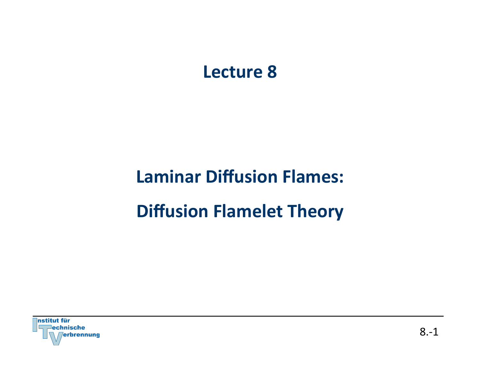# **Lecture 8**

# **Laminar Diffusion Flames: Diffusion Flamelet Theory**

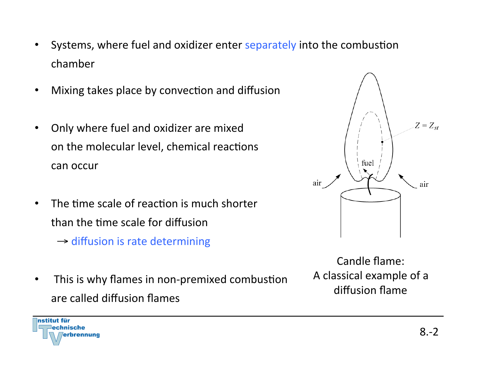- Systems, where fuel and oxidizer enter separately into the combustion chamber
- Mixing takes place by convection and diffusion
- Only where fuel and oxidizer are mixed on the molecular level, chemical reactions can occur
- The time scale of reaction is much shorter than the time scale for diffusion
	- $\rightarrow$  diffusion is rate determining
- This is why flames in non-premixed combustion are called diffusion flames



Candle flame: A classical example of a diffusion flame



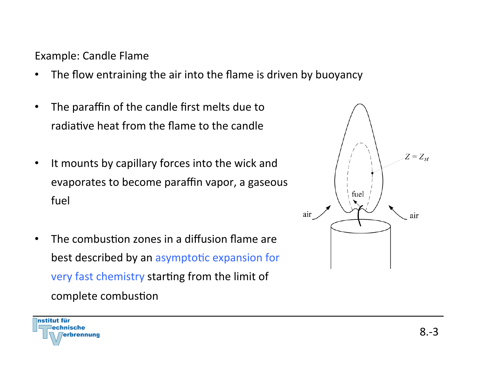Example: Candle Flame

- The flow entraining the air into the flame is driven by buoyancy
- The paraffin of the candle first melts due to radiative heat from the flame to the candle
- It mounts by capillary forces into the wick and evaporates to become paraffin vapor, a gaseous fuel
- The combustion zones in a diffusion flame are best described by an asymptotic expansion for very fast chemistry starting from the limit of complete combustion

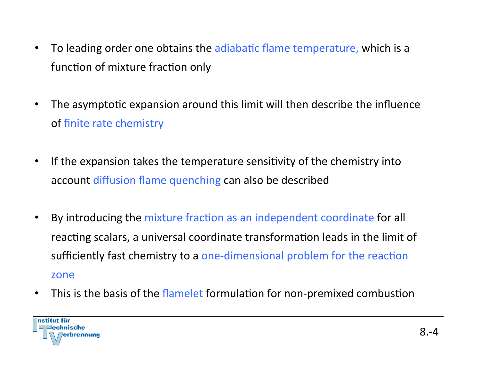- To leading order one obtains the adiabatic flame temperature, which is a function of mixture fraction only
- The asymptotic expansion around this limit will then describe the influence of finite rate chemistry
- If the expansion takes the temperature sensitivity of the chemistry into account diffusion flame quenching can also be described
- By introducing the mixture fraction as an independent coordinate for all reacting scalars, a universal coordinate transformation leads in the limit of sufficiently fast chemistry to a one-dimensional problem for the reaction zone
- This is the basis of the flamelet formulation for non-premixed combustion

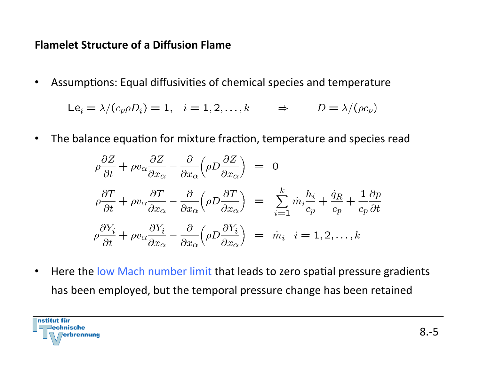## **Flamelet Structure of a Diffusion Flame**

• Assumptions: Equal diffusivities of chemical species and temperature

$$
Le_i = \lambda / (c_p \rho D_i) = 1, \quad i = 1, 2, \dots, k \qquad \Rightarrow \qquad D = \lambda / (\rho c_p)
$$

• The balance equation for mixture fraction, temperature and species read

$$
\rho \frac{\partial Z}{\partial t} + \rho v_{\alpha} \frac{\partial Z}{\partial x_{\alpha}} - \frac{\partial}{\partial x_{\alpha}} \left( \rho D \frac{\partial Z}{\partial x_{\alpha}} \right) = 0
$$
  

$$
\rho \frac{\partial T}{\partial t} + \rho v_{\alpha} \frac{\partial T}{\partial x_{\alpha}} - \frac{\partial}{\partial x_{\alpha}} \left( \rho D \frac{\partial T}{\partial x_{\alpha}} \right) = \sum_{i=1}^{k} m_{i} \frac{h_{i}}{c_{p}} + \frac{\dot{q}_{R}}{c_{p}} + \frac{1}{c_{p}} \frac{\partial p}{\partial t}
$$
  

$$
\rho \frac{\partial Y_{i}}{\partial t} + \rho v_{\alpha} \frac{\partial Y_{i}}{\partial x_{\alpha}} - \frac{\partial}{\partial x_{\alpha}} \left( \rho D \frac{\partial Y_{i}}{\partial x_{\alpha}} \right) = \dot{m}_{i} \quad i = 1, 2, ..., k
$$

• Here the low Mach number limit that leads to zero spatial pressure gradients has been employed, but the temporal pressure change has been retained

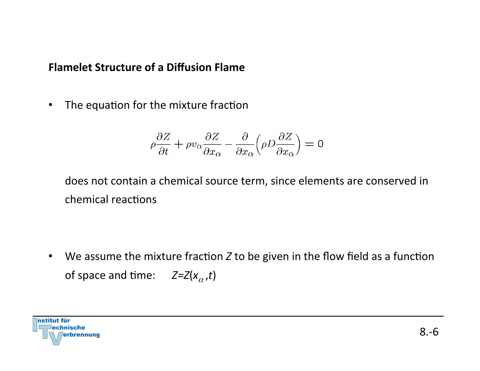#### **Flamelet Structure of a Diffusion Flame**

• The equation for the mixture fraction

$$
\rho \frac{\partial Z}{\partial t} + \rho v_{\alpha} \frac{\partial Z}{\partial x_{\alpha}} - \frac{\partial}{\partial x_{\alpha}} \left( \rho D \frac{\partial Z}{\partial x_{\alpha}} \right) = 0
$$

does not contain a chemical source term, since elements are conserved in chemical reactions

• We assume the mixture fraction *Z* to be given in the flow field as a function of space and time:  $Z=Z(x_{\alpha},t)$ 

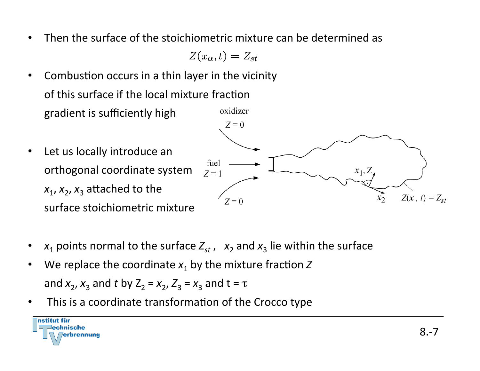• Then the surface of the stoichiometric mixture can be determined as

 $Z(x_{\alpha},t)=Z_{st}$ 

- Combustion occurs in a thin layer in the vicinity of this surface if the local mixture fraction oxidizer gradient is sufficiently high
- $Z=0$ • Let us locally introduce an orthogonal coordinate system  $\lim_{z=1}$   $\qquad \qquad$   $\qquad \qquad$   $\qquad$   $\qquad$   $\qquad$   $\qquad$   $\qquad$   $\qquad$   $\qquad$   $\qquad$   $\qquad$   $\qquad$   $\qquad$   $\qquad$   $\qquad$   $\qquad$   $\qquad$   $\qquad$   $\qquad$   $\qquad$   $\qquad$   $\qquad$   $\qquad$   $\qquad$   $\qquad$   $\qquad$   $\qquad$   $\qquad$   $\qquad$   $\$  $x_1, x_2, x_3$  attached to the  $\overline{x_2} = 0$   $\overline{x_2} = \overline{z(x, t)} = \overline{z_{st}}$ surface stoichiometric mixture
- $x_1$  points normal to the surface  $Z_{st}$ ,  $x_2$  and  $x_3$  lie within the surface
- We replace the coordinate  $x_1$  by the mixture fraction Z and  $x_2$ ,  $x_3$  and *t* by  $Z_2 = x_2$ ,  $Z_3 = x_3$  and  $t = \tau$
- This is a coordinate transformation of the Crocco type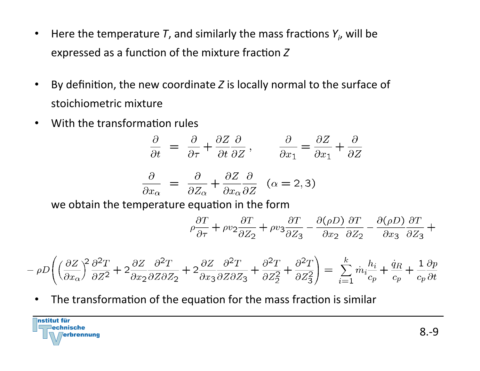- Here the temperature  $T$ , and similarly the mass fractions  $Y_i$ , will be expressed as a function of the mixture fraction Z
- By definition, the new coordinate *Z* is locally normal to the surface of stoichiometric mixture
- With the transformation rules

$$
\frac{\partial}{\partial t} = \frac{\partial}{\partial \tau} + \frac{\partial Z}{\partial t} \frac{\partial}{\partial Z}, \qquad \frac{\partial}{\partial x_1} = \frac{\partial Z}{\partial x_1} + \frac{\partial}{\partial Z}
$$

$$
\frac{\partial}{\partial x_{\alpha}} = \frac{\partial}{\partial Z_{\alpha}} + \frac{\partial Z}{\partial x_{\alpha}} \frac{\partial}{\partial Z} \quad (\alpha = 2, 3)
$$

we obtain the temperature equation in the form

$$
\rho \frac{\partial T}{\partial \tau} + \rho v_2 \frac{\partial T}{\partial Z_2} + \rho v_3 \frac{\partial T}{\partial Z_3} - \frac{\partial (\rho D)}{\partial x_2} \frac{\partial T}{\partial Z_2} - \frac{\partial (\rho D)}{\partial x_3} \frac{\partial T}{\partial Z_3} +
$$

$$
-\rho D\Biggl(\Bigl(\frac{\partial Z}{\partial x_{\alpha}}\Bigr)^{\!2}\frac{\partial^2 T}{\partial Z^2}+2\frac{\partial Z}{\partial x_2}\frac{\partial^2 T}{\partial Z\partial Z_2}+2\frac{\partial Z}{\partial x_3}\frac{\partial^2 T}{\partial Z\partial Z_3}+\frac{\partial^2 T}{\partial Z_2^2}+\frac{\partial^2 T}{\partial Z_3^2}\Biggr)=\sum_{i=1}^k\dot m_i\frac{h_i}{c_p}+\frac{\dot q_R}{c_p}+\frac{1}{c_p}\frac{\partial p}{\partial t}
$$

• The transformation of the equation for the mass fraction is similar

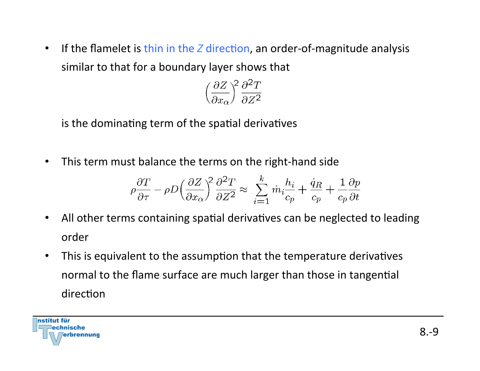• If the flamelet is thin in the *Z* direction, an order-of-magnitude analysis similar to that for a boundary layer shows that

$$
\left(\frac{\partial Z}{\partial x_{\alpha}}\right)^2 \frac{\partial^2 T}{\partial Z^2}
$$

is the dominating term of the spatial derivatives

• This term must balance the terms on the right-hand side

$$
\rho \frac{\partial T}{\partial \tau} - \rho D \left( \frac{\partial Z}{\partial x_{\alpha}} \right)^2 \frac{\partial^2 T}{\partial Z^2} \approx \sum_{i=1}^k \dot{m}_i \frac{h_i}{c_p} + \frac{\dot{q}_R}{c_p} + \frac{1}{c_p} \frac{\partial p}{\partial t}
$$

- All other terms containing spatial derivatives can be neglected to leading order
- This is equivalent to the assumption that the temperature derivatives normal to the flame surface are much larger than those in tangential direction

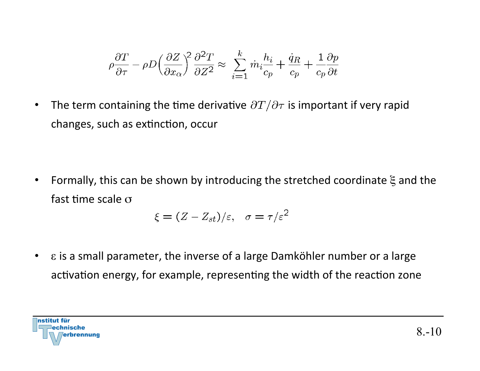$$
\rho \frac{\partial T}{\partial \tau} - \rho D \Big(\frac{\partial Z}{\partial x_{\alpha}}\Big)^{\!2} \frac{\partial^2 T}{\partial Z^2} \approx \; \sum_{i=1}^k \dot{m}_i \frac{h_i}{c_p} + \frac{\dot{q}_R}{c_p} + \frac{1}{c_p} \frac{\partial p}{\partial t}
$$

• The term containing the time derivative  $\partial T/\partial \tau$  is important if very rapid changes, such as extinction, occur

• Formally, this can be shown by introducing the stretched coordinate  $\xi$  and the fast time scale  $\sigma$ 

$$
\xi = (Z - Z_{st})/\varepsilon, \quad \sigma = \tau/\varepsilon^2
$$

•  $\varepsilon$  is a small parameter, the inverse of a large Damköhler number or a large activation energy, for example, representing the width of the reaction zone

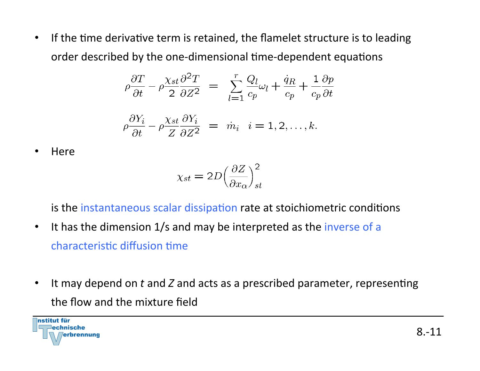• If the time derivative term is retained, the flamelet structure is to leading order described by the one-dimensional time-dependent equations

$$
\rho \frac{\partial T}{\partial t} - \rho \frac{\chi_{st}}{2} \frac{\partial^2 T}{\partial Z^2} = \sum_{l=1}^r \frac{Q_l}{c_p} \omega_l + \frac{\dot{q}_R}{c_p} + \frac{1}{c_p} \frac{\partial p}{\partial t}
$$

$$
\rho \frac{\partial Y_i}{\partial t} - \rho \frac{\chi_{st}}{Z} \frac{\partial Y_i}{\partial Z^2} = \dot{m}_i \quad i = 1, 2, \dots, k.
$$

• Here 

$$
\chi_{st} = 2D \left(\frac{\partial Z}{\partial x_{\alpha}}\right)_{st}^2
$$

is the instantaneous scalar dissipation rate at stoichiometric conditions

- It has the dimension 1/s and may be interpreted as the inverse of a characteristic diffusion time
- It may depend on t and Z and acts as a prescribed parameter, representing the flow and the mixture field

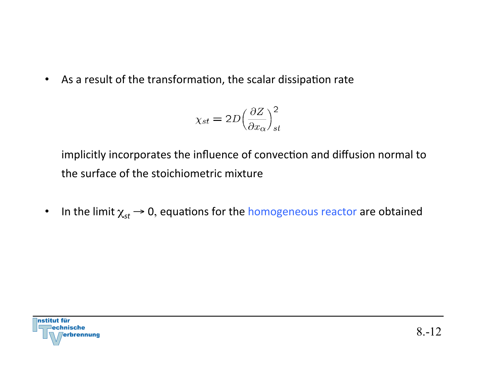• As a result of the transformation, the scalar dissipation rate

$$
\chi_{st} = 2D \Big(\frac{\partial Z}{\partial x_{\alpha}}\Big)_{st}^2
$$

implicitly incorporates the influence of convection and diffusion normal to the surface of the stoichiometric mixture

• In the limit  $\chi_{st} \rightarrow 0$ , equations for the homogeneous reactor are obtained

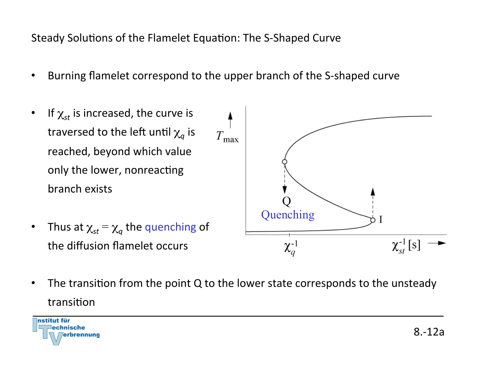Steady Solutions of the Flamelet Equation: The S-Shaped Curve

- Burning flamelet correspond to the upper branch of the S-shaped curve
- If  $\chi_{st}$  is increased, the curve is traversed to the left until  $\chi_q$  is reached, beyond which value only the lower, nonreacting branch exists Quenching• Thus at  $\chi_{st} = \chi_q$  the quenching of  $\chi^{-1}_{st}$  [s] the diffusion flamelet occurs  $\chi_q^{-1}$
- The transition from the point  $Q$  to the lower state corresponds to the unsteady transition

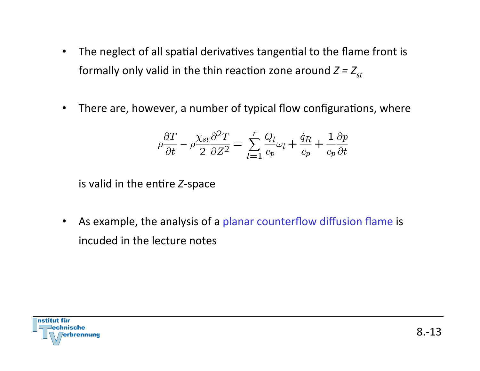- The neglect of all spatial derivatives tangential to the flame front is formally only valid in the thin reaction zone around  $Z = Z_{st}$
- There are, however, a number of typical flow configurations, where

$$
\rho \frac{\partial T}{\partial t} - \rho \frac{\chi_{st}}{2} \frac{\partial^2 T}{\partial Z^2} = \sum_{l=1}^r \frac{Q_l}{c_p} \omega_l + \frac{\dot{q}_R}{c_p} + \frac{1}{c_p} \frac{\partial p}{\partial t}
$$

is valid in the entire Z-space

• As example, the analysis of a planar counterflow diffusion flame is incuded in the lecture notes

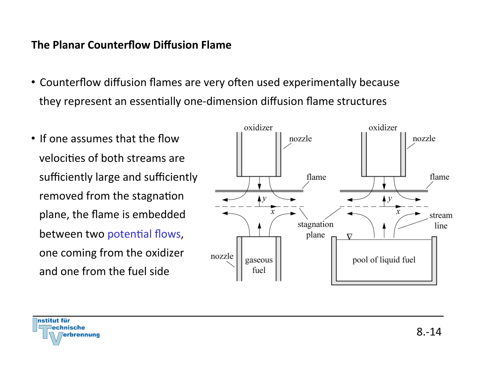### **The Planar Counterflow Diffusion Flame**

- Counterflow diffusion flames are very often used experimentally because they represent an essentially one-dimension diffusion flame structures
- If one assumes that the flow  $\vert$   $\vert$   $\vert$   $\vert$  nozzle velocities of both streams are sufficiently large and sufficiently  $\Box$  flame between two potential flows,  $\Box$   $\Box$   $\Box$   $\Box$   $\Box$   $\Box$   $\nabla$ and one from the fuel side



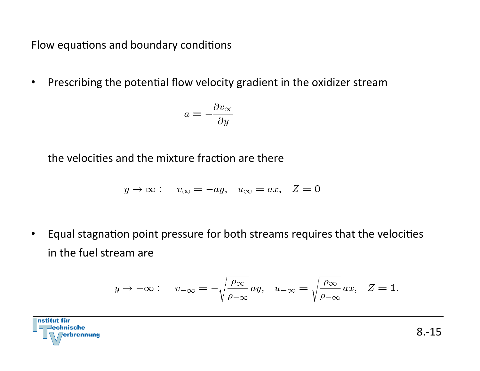Flow equations and boundary conditions

• Prescribing the potential flow velocity gradient in the oxidizer stream

$$
a = -\frac{\partial v_{\infty}}{\partial y}
$$

the velocities and the mixture fraction are there

$$
y \to \infty
$$
:  $v_{\infty} = -ay$ ,  $u_{\infty} = ax$ ,  $Z = 0$ 

Equal stagnation point pressure for both streams requires that the velocities in the fuel stream are

$$
y\rightarrow -\infty: \quad v_{-\infty}=-\sqrt{\frac{\rho_{\infty}}{\rho_{-\infty}}} \,a y, \quad u_{-\infty}=\sqrt{\frac{\rho_{\infty}}{\rho_{-\infty}}} \,a x, \quad Z=1.
$$

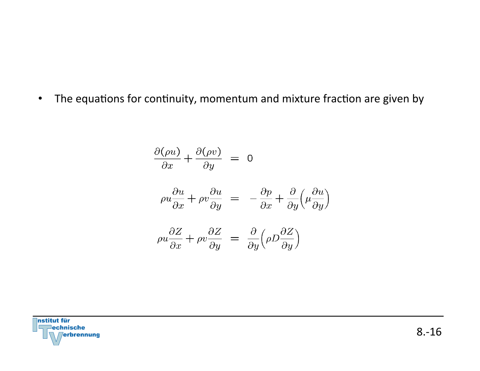• The equations for continuity, momentum and mixture fraction are given by

$$
\frac{\partial(\rho u)}{\partial x} + \frac{\partial(\rho v)}{\partial y} = 0
$$
  

$$
\rho u \frac{\partial u}{\partial x} + \rho v \frac{\partial u}{\partial y} = -\frac{\partial p}{\partial x} + \frac{\partial}{\partial y} \left(\mu \frac{\partial u}{\partial y}\right)
$$
  

$$
\rho u \frac{\partial Z}{\partial x} + \rho v \frac{\partial Z}{\partial y} = \frac{\partial}{\partial y} \left(\rho D \frac{\partial Z}{\partial y}\right)
$$

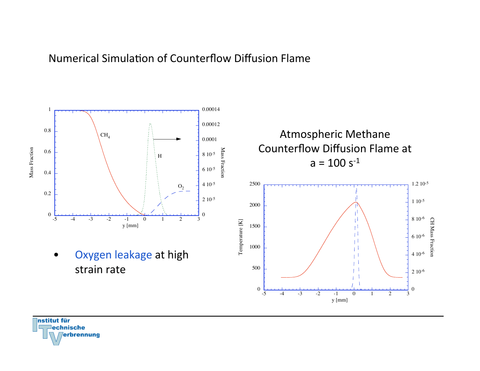#### Numerical Simulation of Counterflow Diffusion Flame



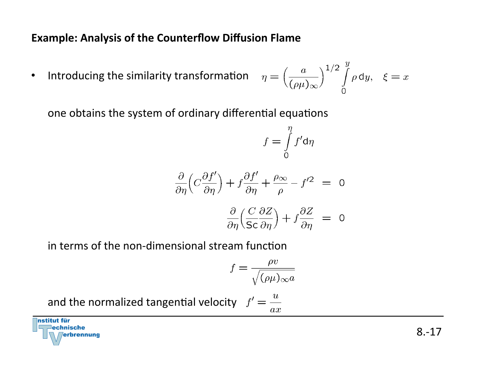## **Example: Analysis of the Counterflow Diffusion Flame**

• Introducing the similarity transformation

$$
\eta = \left(\frac{a}{(\rho \mu)_{\infty}}\right)^{1/2} \int\limits_{0}^{y} \rho \, \mathrm{d}y, \quad \xi = x
$$

one obtains the system of ordinary differential equations

$$
f = \int\limits_0^{\eta} f' \mathrm{d}\eta
$$

$$
\frac{\partial}{\partial \eta} \left( C \frac{\partial f'}{\partial \eta} \right) + f \frac{\partial f'}{\partial \eta} + \frac{\rho_{\infty}}{\rho} - f'^2 = 0
$$

$$
\frac{\partial}{\partial \eta} \Big( \frac{C}{\mathsf{Sc}} \frac{\partial Z}{\partial \eta} \Big) + f \frac{\partial Z}{\partial \eta} = 0
$$

in terms of the non-dimensional stream function

$$
f = \frac{\rho v}{\sqrt{(\rho \mu)_{\infty} a}}
$$

and the normalized tangential velocity  $f' = \frac{u}{v}$  $ax$ 

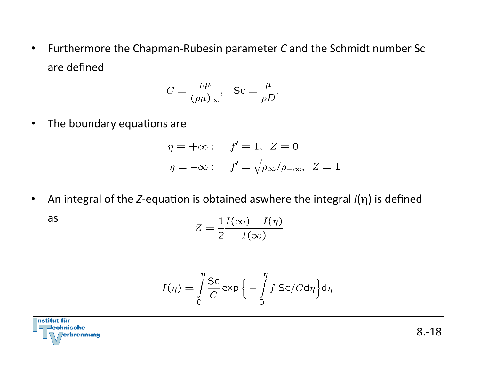• Furthermore the Chapman-Rubesin parameter *C* and the Schmidt number Sc are defined 

$$
C = \frac{\rho \mu}{(\rho \mu)_{\infty}}, \quad \text{Sc} = \frac{\mu}{\rho D}.
$$

• The boundary equations are

$$
\eta = +\infty: \quad f' = 1, \ Z = 0
$$

$$
\eta = -\infty: \quad f' = \sqrt{\rho_{\infty}/\rho_{-\infty}}, \ Z = 1
$$

• An integral of the *Z*-equation is obtained aswhere the integral *I*(η) is defined

as 

$$
Z = \frac{1}{2} \frac{I(\infty) - I(\eta)}{I(\infty)}
$$

$$
I(\eta) = \int_{0}^{\eta} \frac{Sc}{C} \exp \left\{-\int_{0}^{\eta} f \, Sc/C d\eta \right\} d\eta
$$

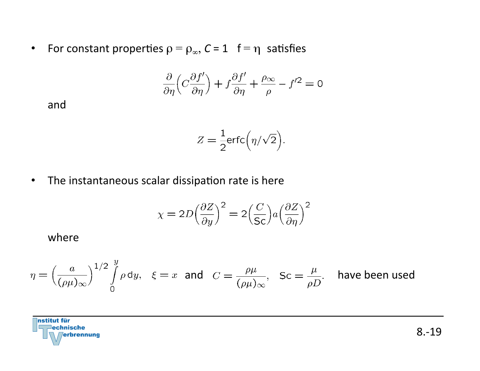• For constant properties  $\rho = \rho_{\infty}$ ,  $C = 1$  f =  $\eta$  satisfies

$$
\frac{\partial}{\partial \eta} \left( C \frac{\partial f'}{\partial \eta} \right) + f \frac{\partial f'}{\partial \eta} + \frac{\rho_{\infty}}{\rho} - f'^2 = 0
$$

and 

$$
Z = \frac{1}{2} \text{erfc}\Big(\eta/\sqrt{2}\Big).
$$

• The instantaneous scalar dissipation rate is here

$$
\chi = 2D \left(\frac{\partial Z}{\partial y}\right)^2 = 2\left(\frac{C}{\mathsf{Sc}}\right) a \left(\frac{\partial Z}{\partial \eta}\right)^2
$$

where 

$$
\eta = \left(\frac{a}{(\rho\mu)_{\infty}}\right)^{1/2} \int\limits_{0}^{y} \rho \, \text{d}y, \quad \xi = x \quad \text{and} \quad C = \frac{\rho\mu}{(\rho\mu)_{\infty}}, \quad \text{Sc} = \frac{\mu}{\rho D}. \quad \text{have been used}
$$

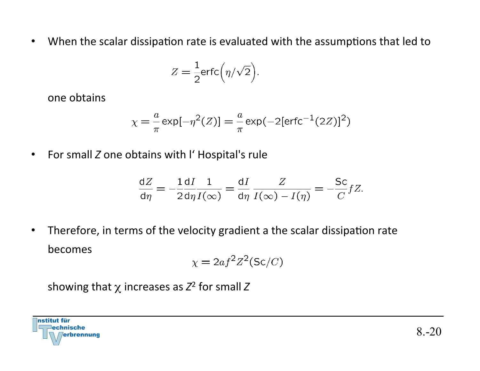• When the scalar dissipation rate is evaluated with the assumptions that led to

$$
Z = \frac{1}{2} \text{erfc}\Big(\eta/\sqrt{2}\Big).
$$

one obtains

$$
\chi = -\frac{a}{\pi} \exp[-\eta^2(Z)] = -\frac{a}{\pi} \exp(-2[\text{erfc}^{-1}(2Z)]^2)
$$

• For small *Z* one obtains with I' Hospital's rule

$$
\frac{dZ}{d\eta} = -\frac{1}{2}\frac{dI}{d\eta}\frac{1}{I(\infty)} = \frac{dI}{d\eta}\frac{Z}{I(\infty) - I(\eta)} = -\frac{Sc}{C}fZ.
$$

• Therefore, in terms of the velocity gradient a the scalar dissipation rate becomes 

$$
\chi = 2af^2Z^2(\mathsf{Sc}/C)
$$

showing that  $\chi$  increases as  $Z^2$  for small Z

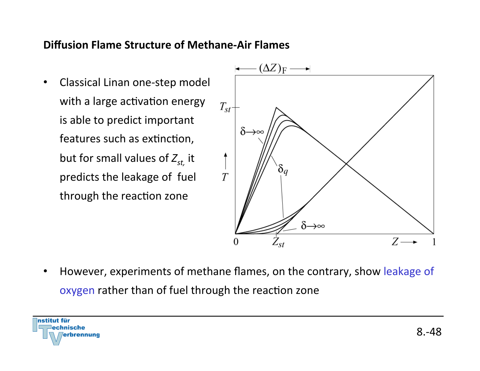#### **Diffusion Flame Structure of Methane-Air Flames**

• Classical Linan one-step model with a large activation energy is able to predict important features such as extinction, but for small values of  $Z_{st}$  it predicts the leakage of fuel through the reaction zone



• However, experiments of methane flames, on the contrary, show leakage of oxygen rather than of fuel through the reaction zone

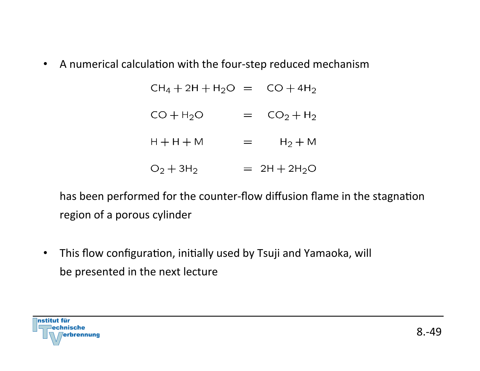• A numerical calculation with the four-step reduced mechanism

 $CH_4 + 2H + H_2O = CO + 4H_2$ 

- $CO + H_2O$  =  $CO_2 + H_2$
- $H + H + M$  =  $H_2 + M$

 $O_2 + 3H_2 = 2H + 2H_2O$ 

has been performed for the counter-flow diffusion flame in the stagnation region of a porous cylinder

• This flow configuration, initially used by Tsuji and Yamaoka, will be presented in the next lecture

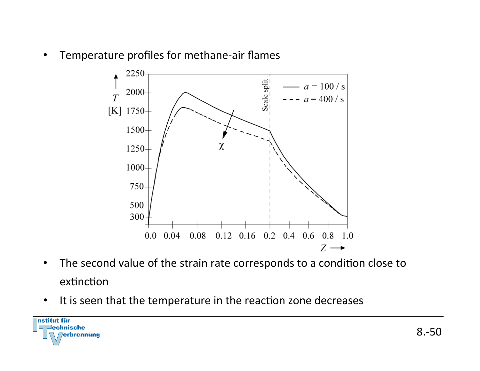• Temperature profiles for methane-air flames



- The second value of the strain rate corresponds to a condition close to extinction
- It is seen that the temperature in the reaction zone decreases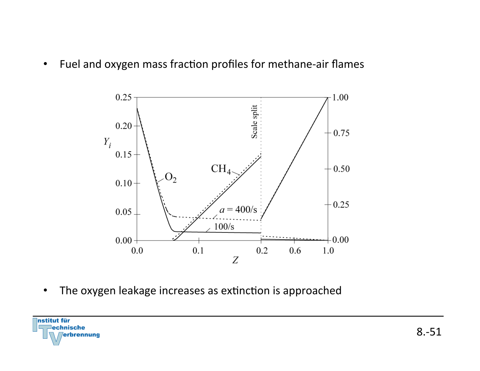• Fuel and oxygen mass fraction profiles for methane-air flames



• The oxygen leakage increases as extinction is approached

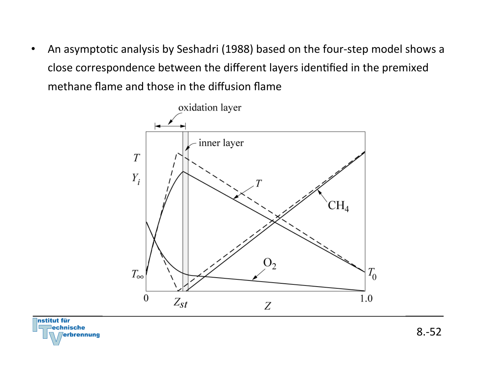• An asymptotic analysis by Seshadri (1988) based on the four-step model shows a close correspondence between the different layers identified in the premixed methane flame and those in the diffusion flame

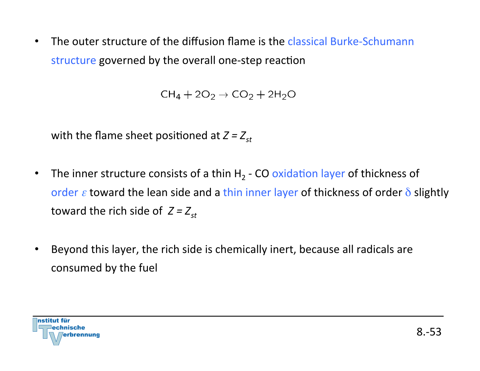• The outer structure of the diffusion flame is the classical Burke-Schumann structure governed by the overall one-step reaction

 $CH_4 + 2O_2 \rightarrow CO_2 + 2H_2O$ 

with the flame sheet positioned at  $Z = Z_{st}$ 

- The inner structure consists of a thin  $H_2$  CO oxidation layer of thickness of order  $\varepsilon$  toward the lean side and a thin inner layer of thickness of order  $\delta$  slightly toward the rich side of  $Z = Z_{st}$
- Beyond this layer, the rich side is chemically inert, because all radicals are consumed by the fuel

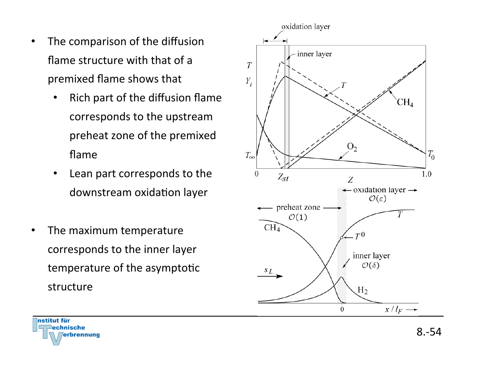- The comparison of the diffusion flame structure with that of a premixed flame shows that
	- Rich part of the diffusion flame corresponds to the upstream preheat zone of the premixed flame
	- Lean part corresponds to the downstream oxidation layer
- The maximum temperature corresponds to the inner layer temperature of the asymptotic structure





8.-54